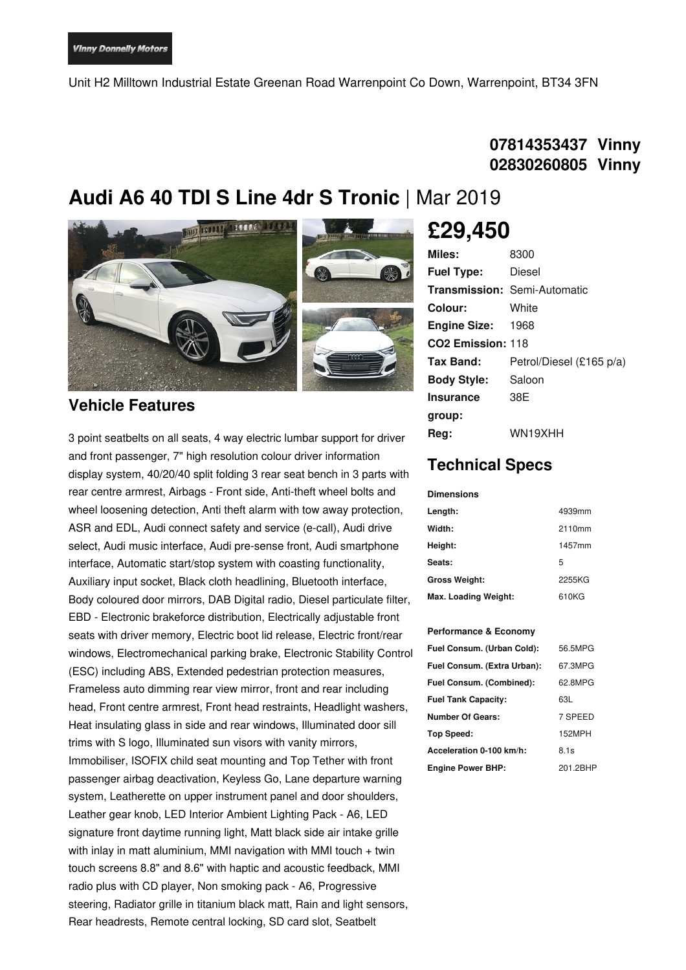Unit H2 Milltown Industrial Estate Greenan Road Warrenpoint Co Down, Warrenpoint, BT34 3FN

### **07814353437 Vinny 02830260805 Vinny**

## **Audi A6 40 TDI S Line 4dr S Tronic** | Mar 2019



#### **Vehicle Features**

3 point seatbelts on all seats, 4 way electric lumbar support for driver and front passenger, 7" high resolution colour driver information display system, 40/20/40 split folding 3 rear seat bench in 3 parts with rear centre armrest, Airbags - Front side, Anti-theft wheel bolts and wheel loosening detection, Anti theft alarm with tow away protection, ASR and EDL, Audi connect safety and service (e-call), Audi drive select, Audi music interface, Audi pre-sense front, Audi smartphone interface, Automatic start/stop system with coasting functionality, Auxiliary input socket, Black cloth headlining, Bluetooth interface, Body coloured door mirrors, DAB Digital radio, Diesel particulate filter, EBD - Electronic brakeforce distribution, Electrically adjustable front seats with driver memory, Electric boot lid release, Electric front/rear windows, Electromechanical parking brake, Electronic Stability Control (ESC) including ABS, Extended pedestrian protection measures, Frameless auto dimming rear view mirror, front and rear including head, Front centre armrest, Front head restraints, Headlight washers, Heat insulating glass in side and rear windows, Illuminated door sill trims with S logo, Illuminated sun visors with vanity mirrors, Immobiliser, ISOFIX child seat mounting and Top Tether with front passenger airbag deactivation, Keyless Go, Lane departure warning system, Leatherette on upper instrument panel and door shoulders, Leather gear knob, LED Interior Ambient Lighting Pack - A6, LED signature front daytime running light, Matt black side air intake grille with inlay in matt aluminium, MMI navigation with MMI touch  $+$  twin touch screens 8.8" and 8.6" with haptic and acoustic feedback, MMI radio plus with CD player, Non smoking pack - A6, Progressive steering, Radiator grille in titanium black matt, Rain and light sensors, Rear headrests, Remote central locking, SD card slot, Seatbelt

# **£29,450**

| Miles:                        | 8300                                |
|-------------------------------|-------------------------------------|
| <b>Fuel Type:</b>             | Diesel                              |
|                               | <b>Transmission: Semi-Automatic</b> |
| Colour:                       | White                               |
| <b>Engine Size:</b>           | 1968                                |
| CO <sub>2</sub> Emission: 118 |                                     |
| Tax Band:                     | Petrol/Diesel (£165 p/a)            |
| <b>Body Style:</b>            | Saloon                              |
| <b>Insurance</b>              | 38E                                 |
| group:                        |                                     |
| Rea:                          | WN19XHH                             |

## **Technical Specs**

#### **Dimensions**

| Length:              | 4939mm |
|----------------------|--------|
| Width:               | 2110mm |
| Height:              | 1457mm |
| Seats:               | 5      |
| <b>Gross Weight:</b> | 2255KG |
| Max. Loading Weight: | 610KG  |

#### **Performance & Economy**

| Fuel Consum. (Urban Cold):  | 56.5MPG  |
|-----------------------------|----------|
| Fuel Consum. (Extra Urban): | 67.3MPG  |
| Fuel Consum. (Combined):    | 62.8MPG  |
| <b>Fuel Tank Capacity:</b>  | 63L      |
| <b>Number Of Gears:</b>     | 7 SPEED  |
| Top Speed:                  | 152MPH   |
| Acceleration 0-100 km/h:    | 8.1s     |
| <b>Engine Power BHP:</b>    | 201 2BHP |
|                             |          |